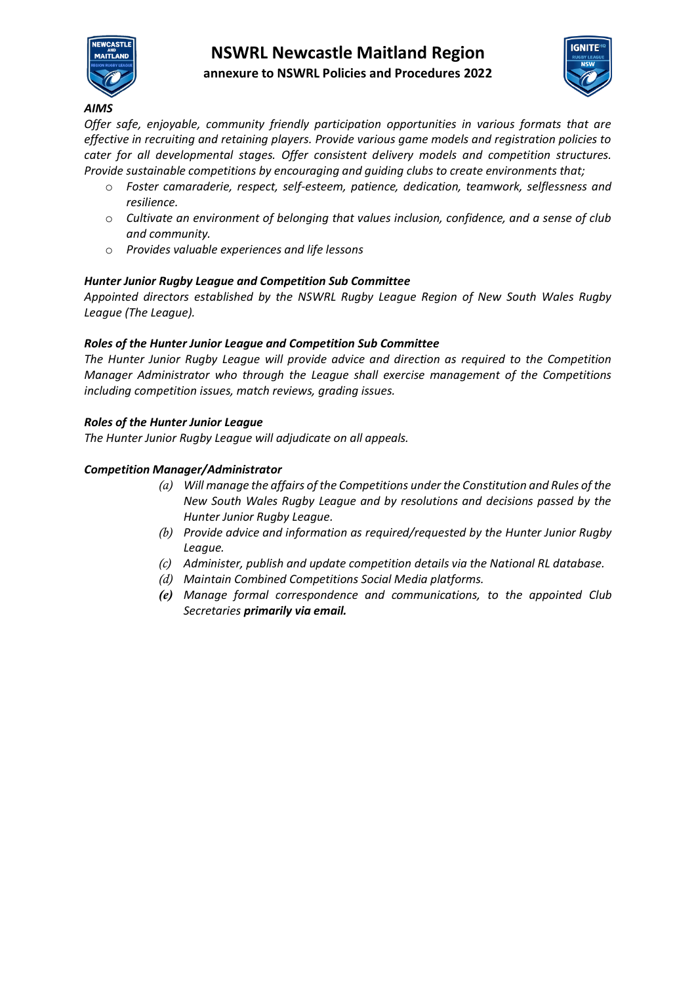

# **NSWRL Newcastle Maitland Region annexure to NSWRL Policies and Procedures 2022**



#### *AIMS*

*Offer safe, enjoyable, community friendly participation opportunities in various formats that are effective in recruiting and retaining players. Provide various game models and registration policies to cater for all developmental stages. Offer consistent delivery models and competition structures. Provide sustainable competitions by encouraging and guiding clubs to create environments that;* 

- o *Foster camaraderie, respect, self-esteem, patience, dedication, teamwork, selflessness and resilience.*
- o *Cultivate an environment of belonging that values inclusion, confidence, and a sense of club and community.*
- o *Provides valuable experiences and life lessons*

## *Hunter Junior Rugby League and Competition Sub Committee*

*Appointed directors established by the NSWRL Rugby League Region of New South Wales Rugby League (The League).*

#### *Roles of the Hunter Junior League and Competition Sub Committee*

*The Hunter Junior Rugby League will provide advice and direction as required to the Competition Manager Administrator who through the League shall exercise management of the Competitions including competition issues, match reviews, grading issues.* 

#### *Roles of the Hunter Junior League*

*The Hunter Junior Rugby League will adjudicate on all appeals.*

#### *Competition Manager/Administrator*

- *(a) Will manage the affairs of the Competitions under the Constitution and Rules of the New South Wales Rugby League and by resolutions and decisions passed by the Hunter Junior Rugby League.*
- *(b) Provide advice and information as required/requested by the Hunter Junior Rugby League.*
- *(c) Administer, publish and update competition details via the National RL database.*
- *(d) Maintain Combined Competitions Social Media platforms.*
- *(e) Manage formal correspondence and communications, to the appointed Club Secretaries primarily via email.*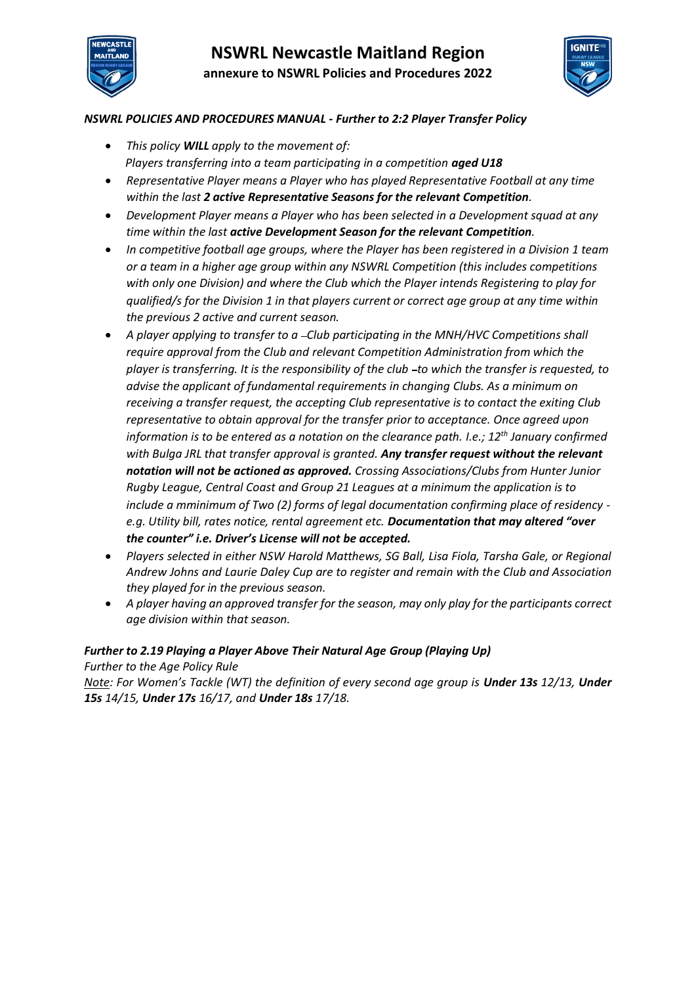



## *NSWRL POLICIES AND PROCEDURES MANUAL - Further to 2:2 Player Transfer Policy*

- *This policy WILL apply to the movement of: Players transferring into a team participating in a competition aged U18*
- *Representative Player means a Player who has played Representative Football at any time within the last 2 active Representative Seasons for the relevant Competition.*
- *Development Player means a Player who has been selected in a Development squad at any time within the last active Development Season for the relevant Competition.*
- *In competitive football age groups, where the Player has been registered in a Division 1 team or a team in a higher age group within any NSWRL Competition (this includes competitions with only one Division) and where the Club which the Player intends Registering to play for qualified/s for the Division 1 in that players current or correct age group at any time within the previous 2 active and current season.*
- *A player applying to transfer to a Club participating in the MNH/HVC Competitions shall require approval from the Club and relevant Competition Administration from which the*  player is transferring. It is the responsibility of the club -to which the transfer is requested, to *advise the applicant of fundamental requirements in changing Clubs. As a minimum on receiving a transfer request, the accepting Club representative is to contact the exiting Club representative to obtain approval for the transfer prior to acceptance. Once agreed upon information is to be entered as a notation on the clearance path. I.e.; 12th January confirmed with Bulga JRL that transfer approval is granted. Any transfer request without the relevant notation will not be actioned as approved. Crossing Associations/Clubs from Hunter Junior Rugby League, Central Coast and Group 21 Leagues at a minimum the application is to include a mminimum of Two (2) forms of legal documentation confirming place of residency e.g. Utility bill, rates notice, rental agreement etc. Documentation that may altered "over the counter" i.e. Driver's License will not be accepted.*
- *Players selected in either NSW Harold Matthews, SG Ball, Lisa Fiola, Tarsha Gale, or Regional Andrew Johns and Laurie Daley Cup are to register and remain with the Club and Association they played for in the previous season.*
- *A player having an approved transfer for the season, may only play for the participants correct age division within that season.*

#### *Further to 2.19 Playing a Player Above Their Natural Age Group (Playing Up) Further to the Age Policy Rule*

*Note: For Women's Tackle (WT) the definition of every second age group is Under 13s 12/13, Under 15s 14/15, Under 17s 16/17, and Under 18s 17/18.*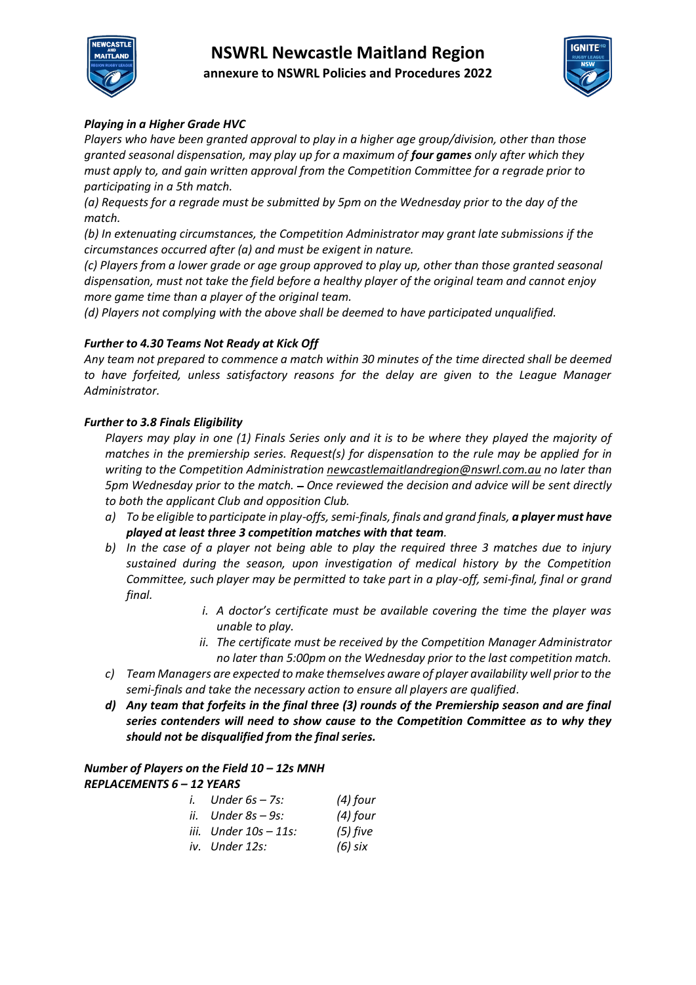



## *Playing in a Higher Grade HVC*

*Players who have been granted approval to play in a higher age group/division, other than those granted seasonal dispensation, may play up for a maximum of four games only after which they must apply to, and gain written approval from the Competition Committee for a regrade prior to participating in a 5th match.* 

*(a) Requests for a regrade must be submitted by 5pm on the Wednesday prior to the day of the match.*

*(b) In extenuating circumstances, the Competition Administrator may grant late submissions if the circumstances occurred after (a) and must be exigent in nature.*

*(c) Players from a lower grade or age group approved to play up, other than those granted seasonal dispensation, must not take the field before a healthy player of the original team and cannot enjoy more game time than a player of the original team.*

*(d) Players not complying with the above shall be deemed to have participated unqualified.*

## *Further to 4.30 Teams Not Ready at Kick Off*

*Any team not prepared to commence a match within 30 minutes of the time directed shall be deemed to have forfeited, unless satisfactory reasons for the delay are given to the League Manager Administrator.*

## *Further to 3.8 Finals Eligibility*

*Players may play in one (1) Finals Series only and it is to be where they played the majority of matches in the premiership series. Request(s) for dispensation to the rule may be applied for in writing to the Competition Administratio[n newcastlemaitlandregion@nswrl.com.au](mailto:newcastlemaitlandregion@nswrl.com.au) no later than 5pm Wednesday prior to the match. Once reviewed the decision and advice will be sent directly to both the applicant Club and opposition Club.*

- *a) To be eligible to participate in play-offs, semi-finals, finals and grand finals, a player must have played at least three 3 competition matches with that team.*
- *b) In the case of a player not being able to play the required three 3 matches due to injury sustained during the season, upon investigation of medical history by the Competition Committee, such player may be permitted to take part in a play-off, semi-final, final or grand final.* 
	- *i. A doctor's certificate must be available covering the time the player was unable to play.*
	- *ii. The certificate must be received by the Competition Manager Administrator no later than 5:00pm on the Wednesday prior to the last competition match.*
- *c) Team Managers are expected to make themselves aware of player availability well prior to the semi-finals and take the necessary action to ensure all players are qualified.*
- *d) Any team that forfeits in the final three (3) rounds of the Premiership season and are final series contenders will need to show cause to the Competition Committee as to why they should not be disqualified from the final series.*

## *Number of Players on the Field 10 – 12s MNH REPLACEMENTS 6 – 12 YEARS*

| $i.$ Under $6s - 7s$ : | $(4)$ four |
|------------------------|------------|
| ii. Under 8s – 9s:     | $(4)$ four |
| iii. Under 10s – 11s:  | $(5)$ five |
| iv. Under 12s:         | (6) six    |